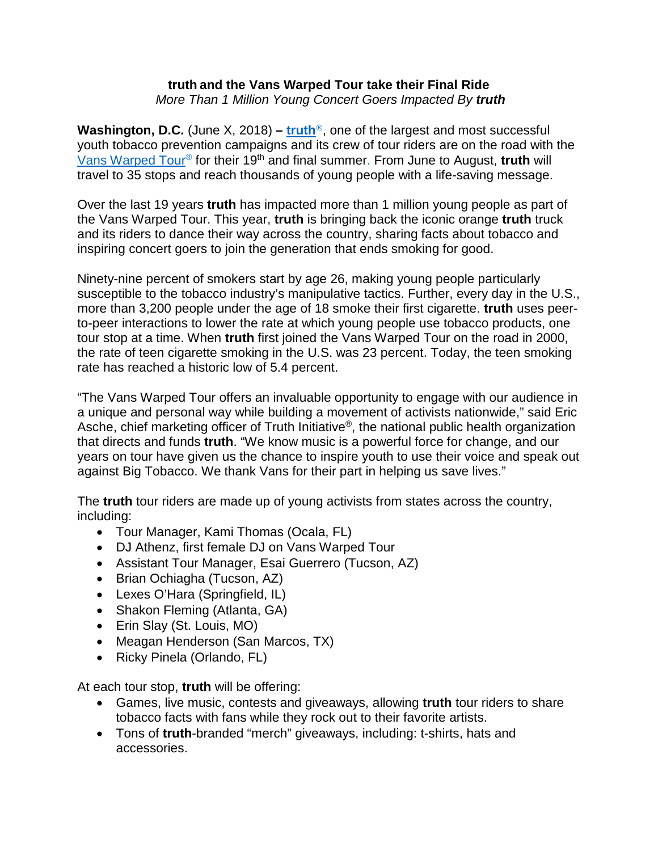## **truth and the Vans Warped Tour take their Final Ride**  *More Than 1 Million Young Concert Goers Impacted By truth*

**Washington, D.C.** (June X, 2018) – **[truth](http://www.thetruth.com/)**<sup>®</sup>, one of the largest and most successful youth tobacco prevention campaigns and its crew of tour riders are on the road with the [Vans Warped Tour®](http://www.vanswarpedtour.com/) for their 19th and final summer. From June to August, **truth** will travel to 35 stops and reach thousands of young people with a life-saving message.

Over the last 19 years **truth** has impacted more than 1 million young people as part of the Vans Warped Tour. This year, **truth** is bringing back the iconic orange **truth** truck and its riders to dance their way across the country, sharing facts about tobacco and inspiring concert goers to join the generation that ends smoking for good.

Ninety-nine percent of smokers start by age 26, making young people particularly susceptible to the tobacco industry's manipulative tactics. Further, every day in the U.S., more than 3,200 people under the age of 18 smoke their first cigarette. **truth** uses peerto-peer interactions to lower the rate at which young people use tobacco products, one tour stop at a time. When **truth** first joined the Vans Warped Tour on the road in 2000, the rate of teen cigarette smoking in the U.S. was 23 percent. Today, the teen smoking rate has reached a historic low of 5.4 percent.

"The Vans Warped Tour offers an invaluable opportunity to engage with our audience in a unique and personal way while building a movement of activists nationwide," said Eric Asche, chief marketing officer of Truth Initiative<sup>®</sup>, the national public health organization that directs and funds **truth**. "We know music is a powerful force for change, and our years on tour have given us the chance to inspire youth to use their voice and speak out against Big Tobacco. We thank Vans for their part in helping us save lives."

The **truth** tour riders are made up of young activists from states across the country, including:

- Tour Manager, Kami Thomas (Ocala, FL)
- DJ Athenz, first female DJ on Vans Warped Tour
- Assistant Tour Manager, Esai Guerrero (Tucson, AZ)
- Brian Ochiagha (Tucson, AZ)
- Lexes O'Hara (Springfield, IL)
- Shakon Fleming (Atlanta, GA)
- Erin Slay (St. Louis, MO)
- Meagan Henderson (San Marcos, TX)
- Ricky Pinela (Orlando, FL)

At each tour stop, **truth** will be offering:

- Games, live music, contests and giveaways, allowing **truth** tour riders to share tobacco facts with fans while they rock out to their favorite artists.
- Tons of **truth**-branded "merch" giveaways, including: t-shirts, hats and accessories.